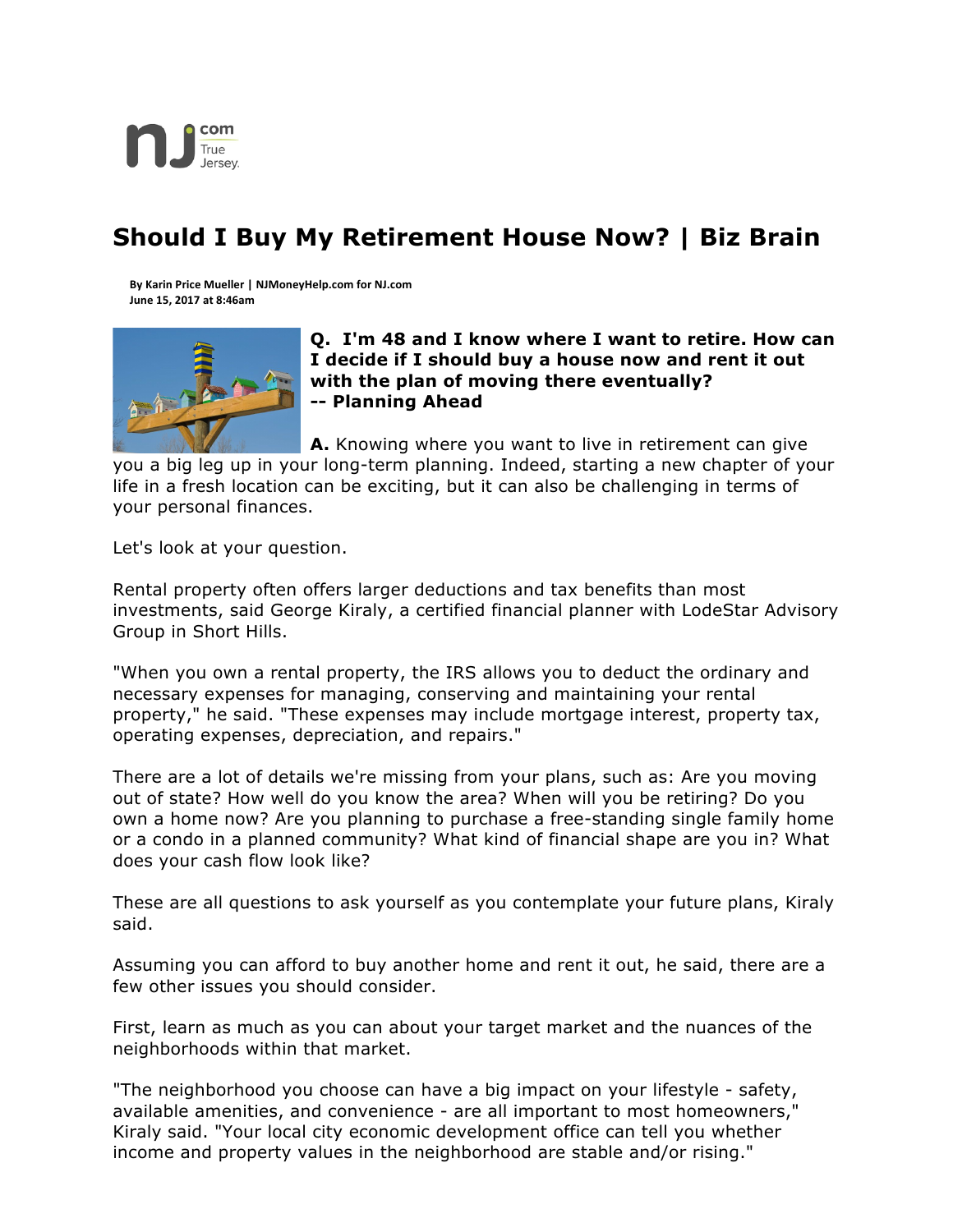

## **Should I Buy My Retirement House Now? | Biz Brain**

**By Karin Price Mueller | NJMoneyHelp.com for NJ.com June 15, 2017 at 8:46am**



**Q. I'm 48 and I know where I want to retire. How can I decide if I should buy a house now and rent it out with the plan of moving there eventually? -- Planning Ahead**

**A.** Knowing where you want to live in retirement can give

you a big leg up in your long-term planning. Indeed, starting a new chapter of your life in a fresh location can be exciting, but it can also be challenging in terms of your personal finances.

Let's look at your question.

Rental property often offers larger deductions and tax benefits than most investments, said George Kiraly, a certified financial planner with LodeStar Advisory Group in Short Hills.

"When you own a rental property, the IRS allows you to deduct the ordinary and necessary expenses for managing, conserving and maintaining your rental property," he said. "These expenses may include mortgage interest, property tax, operating expenses, depreciation, and repairs."

There are a lot of details we're missing from your plans, such as: Are you moving out of state? How well do you know the area? When will you be retiring? Do you own a home now? Are you planning to purchase a free-standing single family home or a condo in a planned community? What kind of financial shape are you in? What does your cash flow look like?

These are all questions to ask yourself as you contemplate your future plans, Kiraly said.

Assuming you can afford to buy another home and rent it out, he said, there are a few other issues you should consider.

First, learn as much as you can about your target market and the nuances of the neighborhoods within that market.

"The neighborhood you choose can have a big impact on your lifestyle - safety, available amenities, and convenience - are all important to most homeowners," Kiraly said. "Your local city economic development office can tell you whether income and property values in the neighborhood are stable and/or rising."